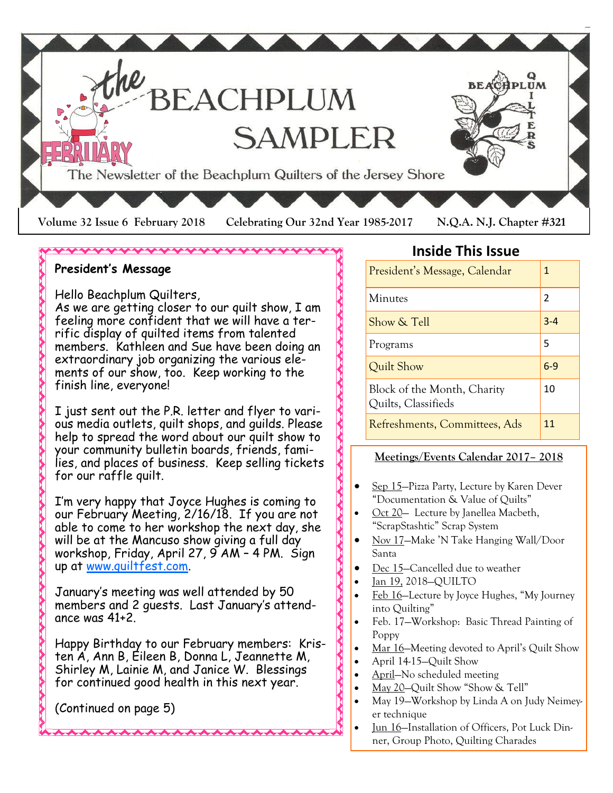

#### **President's Message**

Hello Beachplum Quilters,

As we are getting closer to our quilt show, I am feeling more confident that we will have a terrific display of quilted items from talented members. Kathleen and Sue have been doing an extraordinary job organizing the various elements of our show, too. Keep working to the finish line, everyone!

\*\*\*\*\*\*\*\*\*\*\*\*\*\*\*\*\*\*\*\*\*

I just sent out the P.R. letter and flyer to various media outlets, quilt shops, and guilds. Please help to spread the word about our quilt show to your community bulletin boards, friends, families, and places of business. Keep selling tickets for our raffle quilt.

I'm very happy that Joyce Hughes is coming to our February Meeting, 2/16/18. If you are not able to come to her workshop the next day, she will be at the Mancuso show giving a full day workshop, Friday, April 27, 9 AM – 4 PM. Sign up at [www.quiltfest.com.](http://www.quiltfest.com)

January's meeting was well attended by 50 members and 2 guests. Last January's attendance was 41+2.

Happy Birthday to our February members: Kristen A, Ann B, Eileen B, Donna L, Jeannette M, Shirley M, Lainie M, and Janice W. Blessings for continued good health in this next year.

A A A A A A A A A A A A A A A

(Continued on page 5)

#### **Inside This Issue**

| President's Message, Calendar                      | 1       |
|----------------------------------------------------|---------|
| Minutes                                            | 2       |
| Show & Tell                                        | $3 - 4$ |
| Programs                                           | 5       |
| Quilt Show                                         | $6-9$   |
| Block of the Month, Charity<br>Quilts, Classifieds | 10      |
| Refreshments, Committees, Ads                      | 11      |

#### **Meetings/Events Calendar 2017– 2018**

- Sep 15–Pizza Party, Lecture by Karen Dever "Documentation & Value of Quilts"
- Oct 20 Lecture by Janellea Macbeth, "ScrapStashtic" Scrap System
- Nov 17–Make 'N Take Hanging Wall/Door Santa
- Dec 15–Cancelled due to weather
- Jan 19, 2018—QUILTO

Andread Andread Andread Andread Andread Andrea

- Feb 16–Lecture by Joyce Hughes, "My Journey" into Quilting"
- Feb. 17—Workshop: Basic Thread Painting of Poppy
- Mar 16–Meeting devoted to April's Quilt Show
- April 14-15—Quilt Show
- April—No scheduled meeting
- May 20-Quilt Show "Show & Tell"
- May 19-Workshop by Linda A on Judy Neimeyer technique
- Jun 16—Installation of Officers, Pot Luck Dinner, Group Photo, Quilting Charades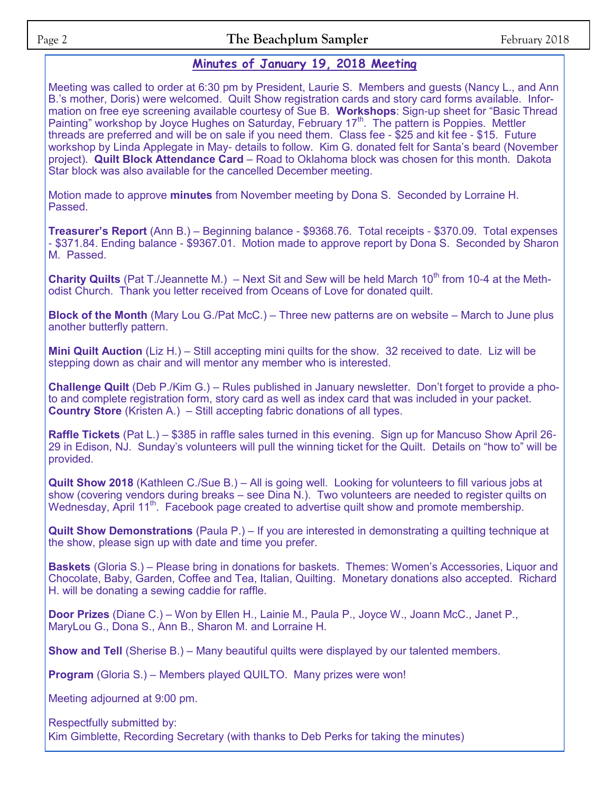#### **Minutes of January 19, 2018 Meeting**

Meeting was called to order at 6:30 pm by President, Laurie S. Members and guests (Nancy L., and Ann B.'s mother, Doris) were welcomed. Quilt Show registration cards and story card forms available. Information on free eye screening available courtesy of Sue B. **Workshops**: Sign-up sheet for "Basic Thread Painting" workshop by Joyce Hughes on Saturday, February 17<sup>th</sup>. The pattern is Poppies. Mettler threads are preferred and will be on sale if you need them. Class fee - \$25 and kit fee - \$15. Future workshop by Linda Applegate in May- details to follow. Kim G. donated felt for Santa's beard (November project). **Quilt Block Attendance Card** – Road to Oklahoma block was chosen for this month. Dakota Star block was also available for the cancelled December meeting.

Motion made to approve **minutes** from November meeting by Dona S. Seconded by Lorraine H. Passed.

**Treasurer's Report** (Ann B.) – Beginning balance - \$9368.76. Total receipts - \$370.09. Total expenses - \$371.84. Ending balance - \$9367.01. Motion made to approve report by Dona S. Seconded by Sharon M. Passed.

**Charity Quilts** (Pat T./Jeannette M.) – Next Sit and Sew will be held March 10<sup>th</sup> from 10-4 at the Methodist Church. Thank you letter received from Oceans of Love for donated quilt.

**Block of the Month** (Mary Lou G./Pat McC.) – Three new patterns are on website – March to June plus another butterfly pattern.

**Mini Quilt Auction** (Liz H.) – Still accepting mini quilts for the show. 32 received to date. Liz will be stepping down as chair and will mentor any member who is interested.

**Challenge Quilt** (Deb P./Kim G.) – Rules published in January newsletter. Don't forget to provide a photo and complete registration form, story card as well as index card that was included in your packet. **Country Store** (Kristen A.)– Still accepting fabric donations of all types.

**Raffle Tickets** (Pat L.) – \$385 in raffle sales turned in this evening. Sign up for Mancuso Show April 26- 29 in Edison, NJ. Sunday's volunteers will pull the winning ticket for the Quilt. Details on "how to" will be provided.

**Quilt Show 2018** (Kathleen C./Sue B.) – All is going well. Looking for volunteers to fill various jobs at show (covering vendors during breaks – see Dina N.). Two volunteers are needed to register quilts on Wednesday, April 11<sup>th</sup>. Facebook page created to advertise quilt show and promote membership.

**Quilt Show Demonstrations** (Paula P.) – If you are interested in demonstrating a quilting technique at the show, please sign up with date and time you prefer.

**Baskets** (Gloria S.) – Please bring in donations for baskets. Themes: Women's Accessories, Liquor and Chocolate, Baby, Garden, Coffee and Tea, Italian, Quilting. Monetary donations also accepted. Richard H. will be donating a sewing caddie for raffle.

**Door Prizes** (Diane C.) – Won by Ellen H., Lainie M., Paula P., Joyce W., Joann McC., Janet P., MaryLou G., Dona S., Ann B., Sharon M. and Lorraine H.

**Show and Tell** (Sherise B.) – Many beautiful quilts were displayed by our talented members.

**Program** (Gloria S.) – Members played QUILTO. Many prizes were won!

Meeting adjourned at 9:00 pm.

Respectfully submitted by: Kim Gimblette, Recording Secretary (with thanks to Deb Perks for taking the minutes)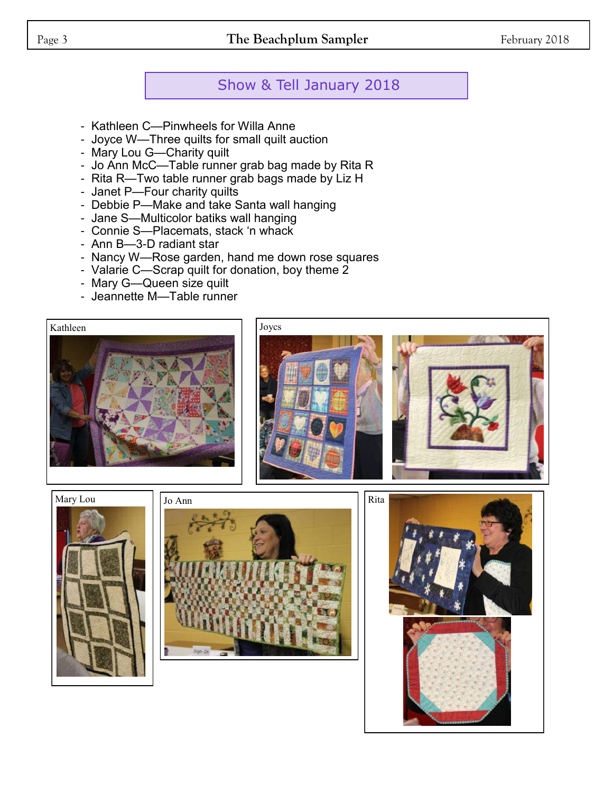### Page 3 **The Beachplum Sampler** February 2018

### Show & Tell January 2018

- Kathleen C—Pinwheels for Willa Anne
- Joyce W—Three quilts for small quilt auction
- Mary Lou G—Charity quilt
- Jo Ann McC—Table runner grab bag made by Rita R
- Rita R—Two table runner grab bags made by Liz H
- Janet P—Four charity quilts
- Debbie P—Make and take Santa wall hanging
- Jane S—Multicolor batiks wall hanging
- Connie S—Placemats, stack 'n whack
- Ann B—3-D radiant star
- Nancy W—Rose garden, hand me down rose squares
- Valarie C—Scrap quilt for donation, boy theme 2
- Mary G—Queen size quilt
- Jeannette M—Table runner













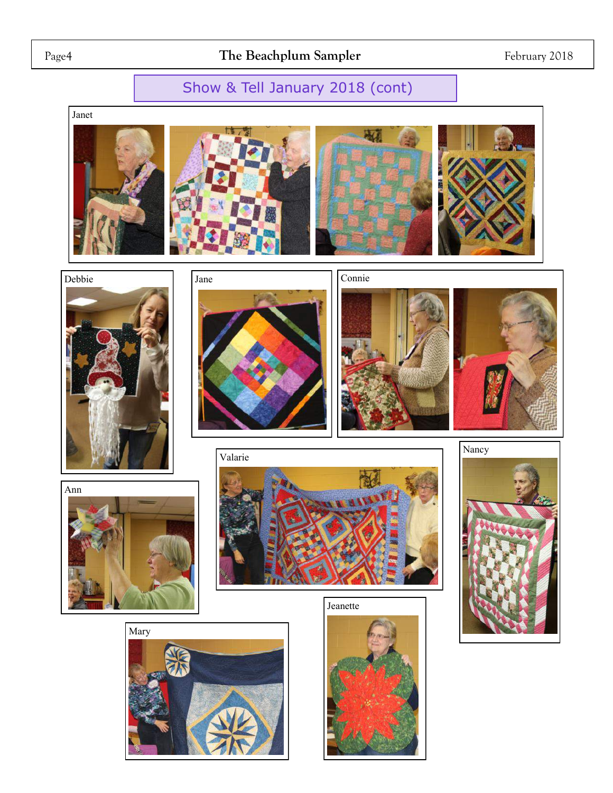### Show & Tell January 2018 (cont)

Janet





























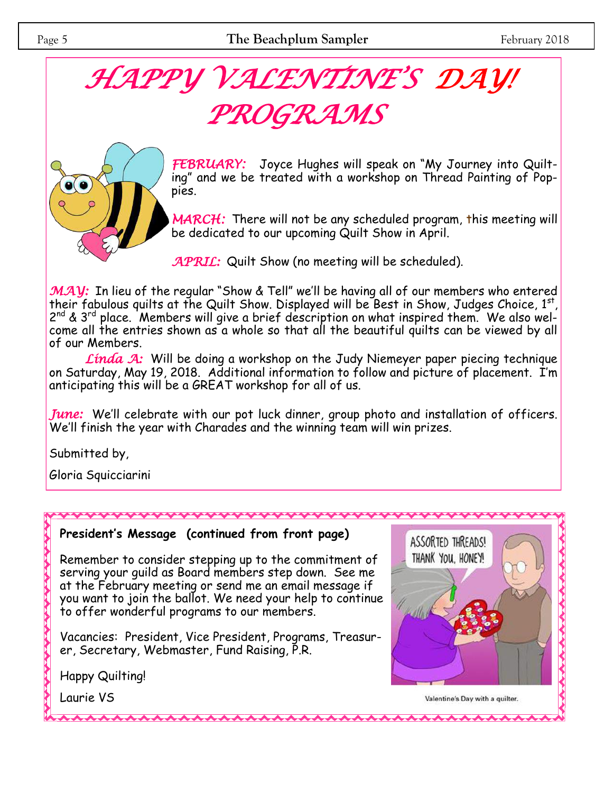# *HAPPY VALENTINE'S DAY! PROGRAMS*



*FEBRUARY:* Joyce Hughes will speak on "My Journey into Quilting" and we be treated with a workshop on Thread Painting of Poppies.

*MARCH:* There will not be any scheduled program, this meeting will be dedicated to our upcoming Quilt Show in April.

*APRIL:* Quilt Show (no meeting will be scheduled).

*MAY*: In lieu of the regular "Show & Tell" we'll be having all of our members who entered their fabulous quilts at the Quilt Show. Displayed will be Best in Show, Judges Choice,  $1^{st}$ ,  $\,$ 2<sup>nd</sup> & 3<sup>rd</sup> place. Members will give a brief description on what inspired them. We also welcome all the entries shown as a whole so that all the beautiful quilts can be viewed by all of our Members.

*Linda A:* Will be doing a workshop on the Judy Niemeyer paper piecing technique on Saturday, May 19, 2018. Additional information to follow and picture of placement. I'm anticipating this will be a GREAT workshop for all of us.

*June:* We'll celebrate with our pot luck dinner, group photo and installation of officers. We'll finish the year with Charades and the winning team will win prizes.

Submitted by,

Gloria Squicciarini

#### **President's Message (continued from front page)**

Remember to consider stepping up to the commitment of serving your guild as Board members step down. See me at the February meeting or send me an email message if you want to join the ballot. We need your help to continue to offer wonderful programs to our members.

Vacancies: President, Vice President, Programs, Treasurer, Secretary, Webmaster, Fund Raising, P.R.

Happy Quilting!

Laurie VS

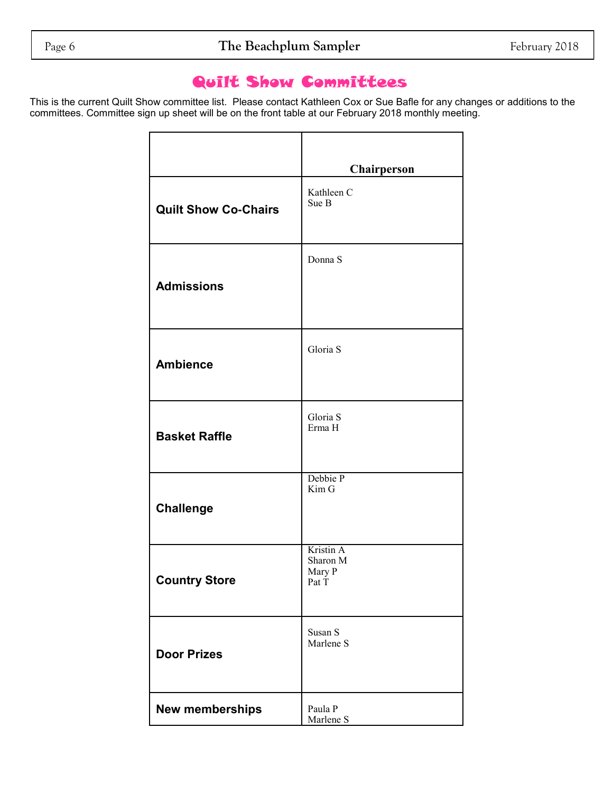### Quilt Show Committees

This is the current Quilt Show committee list. Please contact Kathleen Cox or Sue Bafle for any changes or additions to the committees. Committee sign up sheet will be on the front table at our February 2018 monthly meeting.

|                             | Chairperson                              |
|-----------------------------|------------------------------------------|
| <b>Quilt Show Co-Chairs</b> | Kathleen C<br>Sue B                      |
| <b>Admissions</b>           | Donna S                                  |
| <b>Ambience</b>             | Gloria S                                 |
| <b>Basket Raffle</b>        | Gloria S<br>Erma H                       |
| <b>Challenge</b>            | Debbie P<br>Kim G                        |
| <b>Country Store</b>        | Kristin A<br>Sharon M<br>Mary P<br>Pat T |
| <b>Door Prizes</b>          | Susan S<br>Marlene S                     |
| New memberships             | Paula P<br>Marlene S                     |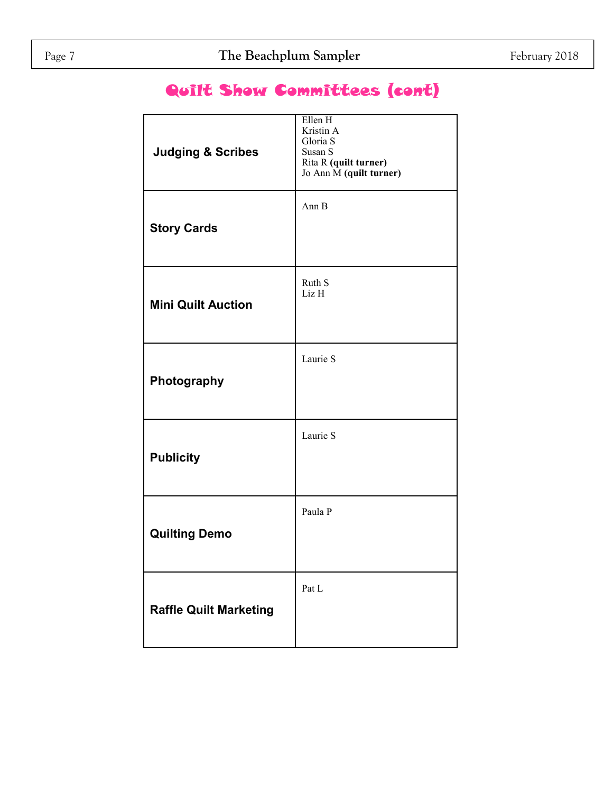### Quilt Show Committees (cont)

| <b>Judging &amp; Scribes</b>  | Ellen H<br>Kristin A<br>Gloria S<br>Susan S<br>Rita R (quilt turner)<br>Jo Ann M (quilt turner) |
|-------------------------------|-------------------------------------------------------------------------------------------------|
| <b>Story Cards</b>            | Ann B                                                                                           |
| <b>Mini Quilt Auction</b>     | Ruth S<br>Liz H                                                                                 |
| Photography                   | Laurie S                                                                                        |
| <b>Publicity</b>              | Laurie S                                                                                        |
| <b>Quilting Demo</b>          | Paula P                                                                                         |
| <b>Raffle Quilt Marketing</b> | Pat L                                                                                           |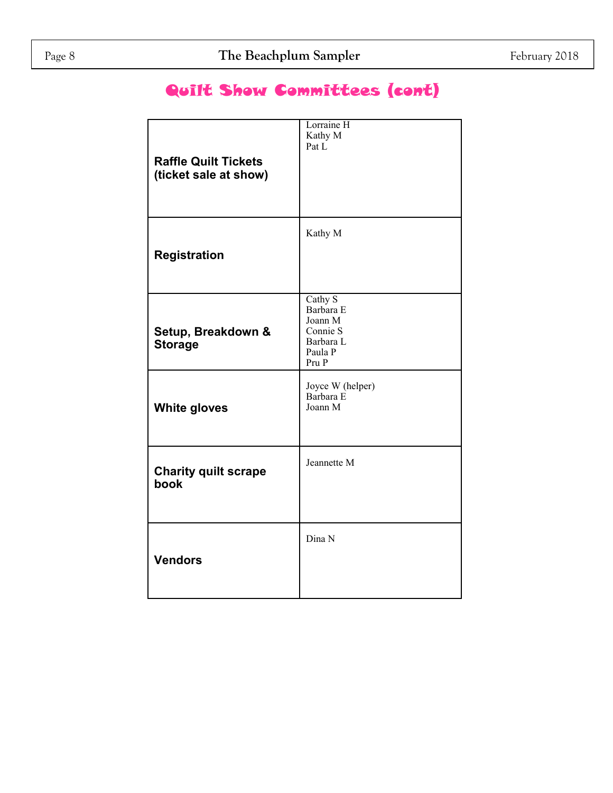### Quilt Show Committees (cont)

| <b>Raffle Quilt Tickets</b><br>(ticket sale at show) | Lorraine H<br>Kathy M<br>Pat L                                               |
|------------------------------------------------------|------------------------------------------------------------------------------|
| <b>Registration</b>                                  | Kathy M                                                                      |
| Setup, Breakdown &<br><b>Storage</b>                 | Cathy S<br>Barbara E<br>Joann M<br>Connie S<br>Barbara L<br>Paula P<br>Pru P |
| <b>White gloves</b>                                  | Joyce W (helper)<br>Barbara E<br>Joann M                                     |
| <b>Charity quilt scrape</b><br>book                  | Jeannette M                                                                  |
| <b>Vendors</b>                                       | Dina N                                                                       |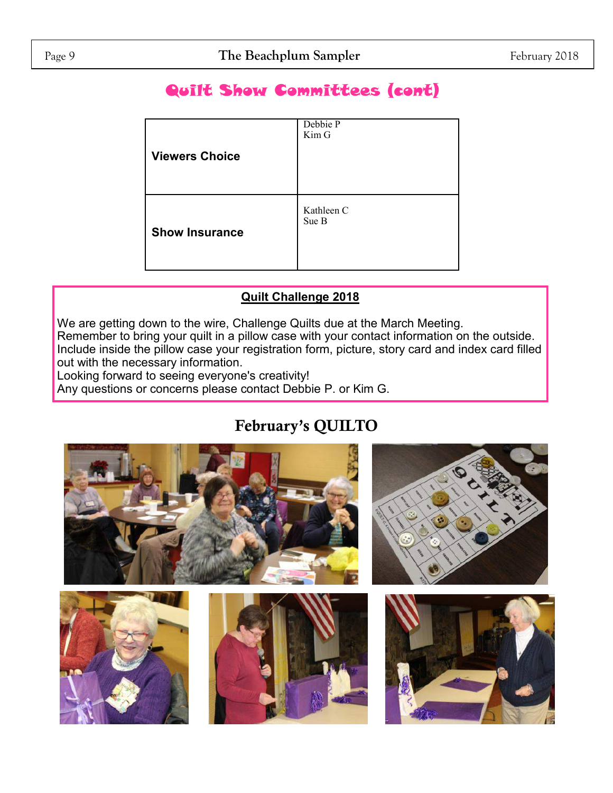### Quilt Show Committees (cont)

| <b>Viewers Choice</b> | Debbie P<br>Kim G   |
|-----------------------|---------------------|
| <b>Show Insurance</b> | Kathleen C<br>Sue B |

### **Quilt Challenge 2018**

We are getting down to the wire, Challenge Quilts due at the March Meeting.

Remember to bring your quilt in a pillow case with your contact information on the outside. Include inside the pillow case your registration form, picture, story card and index card filled out with the necessary information.

Looking forward to seeing everyone's creativity!

Any questions or concerns please contact Debbie P. or Kim G.

## **February's QUILTO**

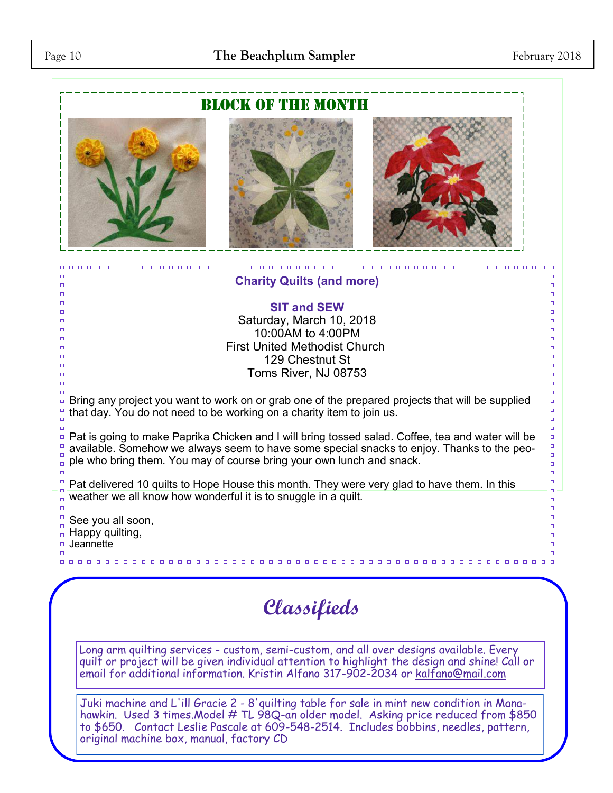### Page 10 **The Beachplum Sampler** February 2018



hawkin. Used 3 times.Model # TL 98Q-an older model. Asking price reduced from \$850 to \$650. Contact Leslie Pascale at 609-548-2514. Includes bobbins, needles, pattern, original machine box, manual, factory CD